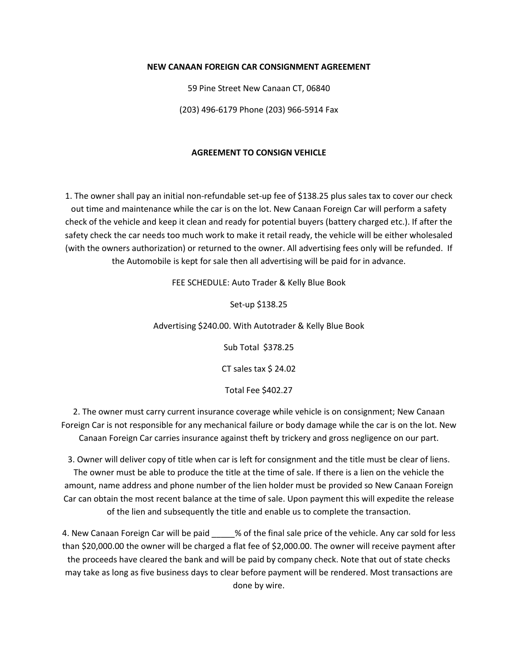## **NEW CANAAN FOREIGN CAR CONSIGNMENT AGREEMENT**

59 Pine Street New Canaan CT, 06840

(203) 496-6179 Phone (203) 966-5914 Fax

## **AGREEMENT TO CONSIGN VEHICLE**

1. The owner shall pay an initial non-refundable set-up fee of \$138.25 plus sales tax to cover our check out time and maintenance while the car is on the lot. New Canaan Foreign Car will perform a safety check of the vehicle and keep it clean and ready for potential buyers (battery charged etc.). If after the safety check the car needs too much work to make it retail ready, the vehicle will be either wholesaled (with the owners authorization) or returned to the owner. All advertising fees only will be refunded. If the Automobile is kept for sale then all advertising will be paid for in advance.

FEE SCHEDULE: Auto Trader & Kelly Blue Book

Set-up \$138.25

Advertising \$240.00. With Autotrader & Kelly Blue Book

Sub Total \$378.25

CT sales tax \$ 24.02

Total Fee \$402.27

2. The owner must carry current insurance coverage while vehicle is on consignment; New Canaan Foreign Car is not responsible for any mechanical failure or body damage while the car is on the lot. New Canaan Foreign Car carries insurance against theft by trickery and gross negligence on our part.

3. Owner will deliver copy of title when car is left for consignment and the title must be clear of liens. The owner must be able to produce the title at the time of sale. If there is a lien on the vehicle the amount, name address and phone number of the lien holder must be provided so New Canaan Foreign Car can obtain the most recent balance at the time of sale. Upon payment this will expedite the release of the lien and subsequently the title and enable us to complete the transaction.

4. New Canaan Foreign Car will be paid  $\frac{1}{2}$  % of the final sale price of the vehicle. Any car sold for less than \$20,000.00 the owner will be charged a flat fee of \$2,000.00. The owner will receive payment after the proceeds have cleared the bank and will be paid by company check. Note that out of state checks may take as long as five business days to clear before payment will be rendered. Most transactions are done by wire.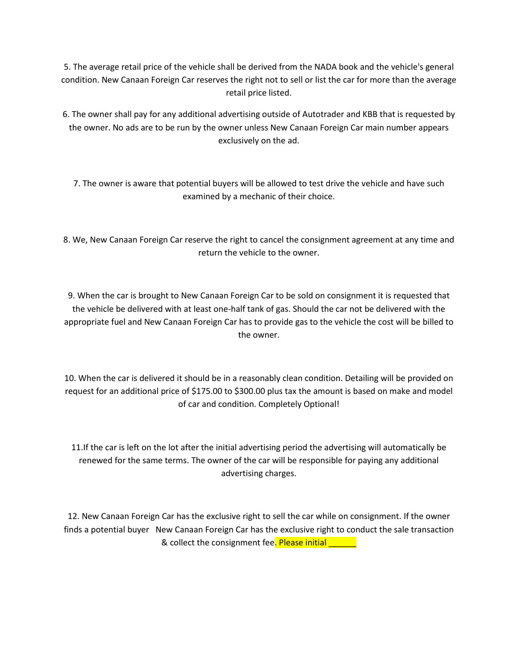5. The average retail price of the vehicle shall be derived from the NADA book and the vehicle's general condition. New Canaan Foreign Car reserves the right not to sell or list the car for more than the average retail price listed.

6. The owner shall pay for any additional advertising outside of Autotrader and KBB that is requested by the owner. No ads are to be run by the owner unless New Canaan Foreign Car main number appears exclusively on the ad.

7. The owner is aware that potential buyers will be allowed to test drive the vehicle and have such examined by a mechanic of their choice.

8. We, New Canaan Foreign Car reserve the right to cancel the consignment agreement at any time and return the vehicle to the owner.

9. When the car is brought to New Canaan Foreign Car to be sold on consignment it is requested that the vehicle be delivered with at least one-half tank of gas. Should the car not be delivered with the appropriate fuel and New Canaan Foreign Car has to provide gas to the vehicle the cost will be billed to the owner.

10. When the car is delivered it should be in a reasonably clean condition. Detailing will be provided on request for an additional price of \$175.00 to \$300.00 plus tax the amount is based on make and model of car and condition. Completely Optional!

11.If the car is left on the lot after the initial advertising period the advertising will automatically be renewed for the same terms. The owner of the car will be responsible for paying any additional advertising charges.

12. New Canaan Foreign Car has the exclusive right to sell the car while on consignment. If the owner finds a potential buyer New Canaan Foreign Car has the exclusive right to conduct the sale transaction & collect the consignment fee. Please initial